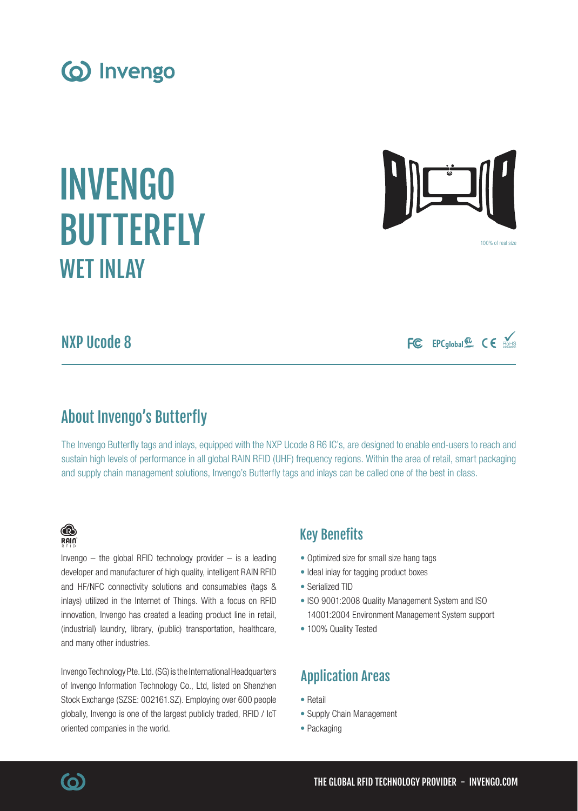WET INLAY

# NXP Ucode 8

## About Invengo's Butterfly

The Invengo Butterfly tags and inlays, equipped with the NXP Ucode 8 R6 IC's, are designed to enable end-users to reach and sustain high levels of performance in all global RAIN RFID (UHF) frequency regions. Within the area of retail, smart packaging and supply chain management solutions, Invengo's Butterfly tags and inlays can be called one of the best in class.

### Key Benefits

- Optimized size for small size hang tags
- Ideal inlay for tagging product boxes
- Serialized TID
- ISO 9001:2008 Quality Management System and ISO 14001:2004 Environment Management System support
- 100% Quality Tested

### Application Areas

- Retail
- Supply Chain Management
- Packaging

### innovation, Invengo has created a leading product line in retail, (industrial) laundry, library, (public) transportation, healthcare, and many other industries.

Invengo Technology Pte. Ltd. (SG) is the International Headquarters of Invengo Information Technology Co., Ltd, listed on Shenzhen Stock Exchange (SZSE: 002161.SZ). Employing over 600 people globally, Invengo is one of the largest publicly traded, RFID / IoT oriented companies in the world.

developer and manufacturer of high quality, intelligent RAIN RFID and HF/NFC connectivity solutions and consumables (tags & inlays) utilized in the Internet of Things. With a focus on RFID

(o) Invengo

INVENGO

BUTTERFLY

FC EPCglobal & CE

100% of real size